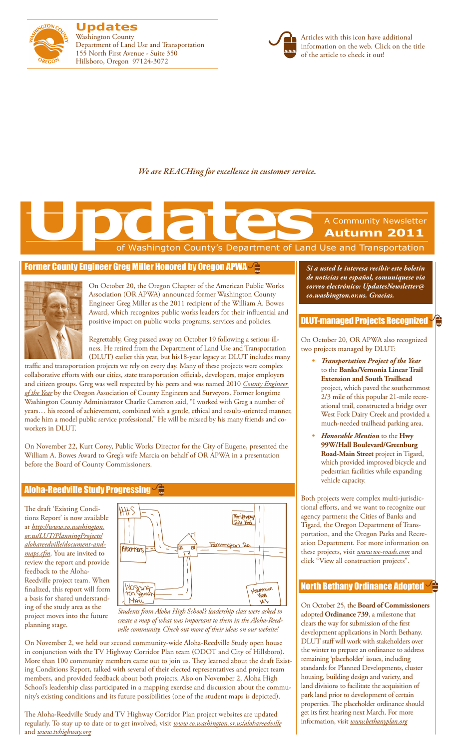

**Updates** Washington County Department of Land Use and Transportation 155 North First Avenue - Suite 350 Hillsboro, Oregon 97124-3072



Articles with this icon have additional information on the web. Click on the title of the article to check it out!

*We are REACHing for excellence in customer service.*

of Washington County's Department of Land Use and Transportation A Community Newsletter **Autumn 2011 Updates**<br>
The Contract of Washington County's Department of Land

## [Former County Engineer Greg Miller Honored by Oregon APWA](http://www.co.washington.or.us/LUT/News/gregsbowesaward.cfm)



On October 20, the Oregon Chapter of the American Public Works Association (OR APWA) announced former Washington County Engineer Greg Miller as the 2011 recipient of the William A. Bowes Award, which recognizes public works leaders for their influential and positive impact on public works programs, services and policies.

Regrettably, Greg passed away on October 19 following a serious illness. He retired from the Department of Land Use and Transportation (DLUT) earlier this year, but his18-year legacy at DLUT includes many

traffic and transportation projects we rely on every day. Many of these projects were complex collaborative efforts with our cities, state transportation officials, developers, major employers and citizen groups. Greg was well respected by his peers and was named 2010 *[County Engineer](http://www.co.washington.or.us/LUT/News/gregsbowesaward.cfm)  [of the Year](http://www.co.washington.or.us/LUT/News/gregsbowesaward.cfm)* by the Oregon Association of County Engineers and Surveyors. Former longtime Washington County Administrator Charlie Cameron said, "I worked with Greg a number of years… his record of achievement, combined with a gentle, ethical and results-oriented manner, made him a model public service professional." He will be missed by his many friends and coworkers in DLUT.

On November 22, Kurt Corey, Public Works Director for the City of Eugene, presented the William A. Bowes Award to Greg's wife Marcia on behalf of OR APWA in a presentation before the Board of County Commissioners.

## [Aloha-Reedville Study Progressing](www.co.washington.or.us/alohareedville)

The draft 'Existing Conditions Report' is now available at *http://www.co.washington. or.us/LUT/PlanningProjects/ alohareedville/document-andmaps.cfm*. You are invited to review the report and provide feedback to the Aloha-Reedville project team. When finalized, this report will form a basis for shared understanding of the study area as the project moves into the future planning stage.



*Students from Aloha High School's leadership class were asked to create a map of what was important to them in the Aloha-Reedvelle community. Check out more of their ideas on our website!*

On November 2, we held our second community-wide Aloha-Reedville Study open house in conjunction with the TV Highway Corridor Plan team (ODOT and City of Hillsboro). More than 100 community members came out to join us. They learned about the draft Existing Conditions Report, talked with several of their elected representatives and project team members, and provided feedback about both projects. Also on November 2, Aloha High School's leadership class participated in a mapping exercise and discussion about the community's existing conditions and its future possibilities (one of the student maps is depicted).

The Aloha-Reedville Study and TV Highway Corridor Plan project websites are updated regularly. To stay up to date or to get involved, visit *www.co.washington.or.us/alohareedville* and *www.tvhighway.org*

*Si a usted le interesa recibir este boletín de noticias en español, comuníquese via correo electrónico: UpdatesNewsletter@ co.washington.or.us. Gracias.*

## [DLUT-managed Projects Recognized](http://www.co.washington.or.us/LUT/News/bvtrailprojectoftheyear.cfm)

On October 20, OR APWA also recognized two projects managed by DLUT:

- *• Transportation Project of the Year* to the **Banks/Vernonia Linear Trail Extension and South Trailhead** project, which paved the southernmost 2/3 mile of this popular 21-mile recreational trail, constructed a bridge over West Fork Dairy Creek and provided a much-needed trailhead parking area.
- *Honorable Mention* to the **Hwy 99W/Hall Boulevard/Greenburg Road-Main Street** project in Tigard, which provided improved bicycle and pedestrian facilities while expanding vehicle capacity.

Both projects were complex multi-jurisdictional efforts, and we want to recognize our agency partners: the Cities of Banks and Tigard, the Oregon Department of Transportation, and the Oregon Parks and Recreation Department. For more information on these projects, visit *www.wc-roads.com* and click "View all construction projects".

## [North Bethany Ordinance Adopted](www.bethanyplan.org)

On October 25, the **Board of Commissioners** adopted **Ordinance 739**, a milestone that clears the way for submission of the first development applications in North Bethany. DLUT staff will work with stakeholders over the winter to prepare an ordinance to address remaining 'placeholder' issues, including standards for Planned Developments, cluster housing, building design and variety, and land divisions to facilitate the acquisition of park land prior to development of certain properties. The placeholder ordinance should get its first hearing next March. For more information, visit *www.bethanyplan.org*